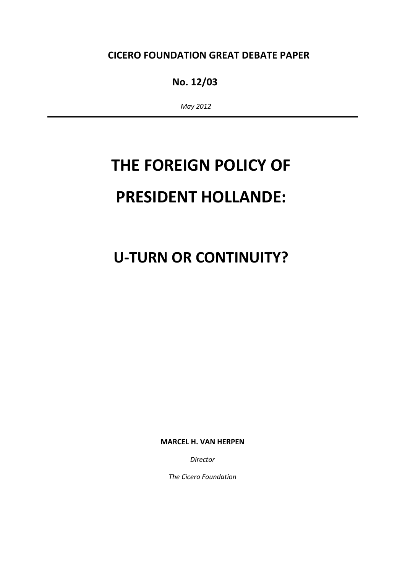### CICERO FOUNDATION GREAT DEBATE PAPER

## No. 12/03

May 2012

# THE FOREIGN POLICY OF PRESIDENT HOLLANDE:

## U-TURN OR CONTINUITY?

MARCEL H. VAN HERPEN

Director

The Cicero Foundation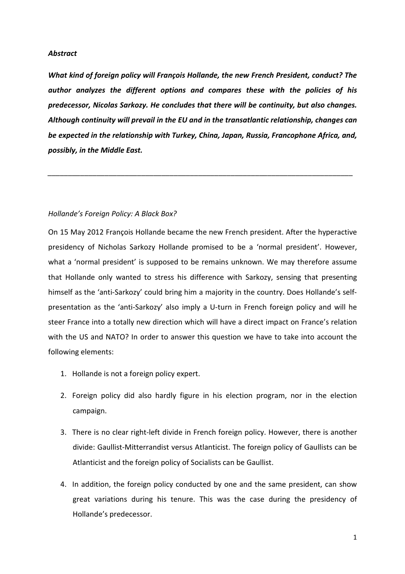#### Abstract

What kind of foreign policy will François Hollande, the new French President, conduct? The author analyzes the different options and compares these with the policies of his predecessor, Nicolas Sarkozy. He concludes that there will be continuity, but also changes. Although continuity will prevail in the EU and in the transatlantic relationship, changes can be expected in the relationship with Turkey, China, Japan, Russia, Francophone Africa, and, possibly, in the Middle East.

\_\_\_\_\_\_\_\_\_\_\_\_\_\_\_\_\_\_\_\_\_\_\_\_\_\_\_\_\_\_\_\_\_\_\_\_\_\_\_\_\_\_\_\_\_\_\_\_\_\_\_\_\_\_\_\_\_\_\_\_\_\_\_\_\_\_\_\_\_\_\_\_\_\_\_

#### Hollande's Foreign Policy: A Black Box?

On 15 May 2012 François Hollande became the new French president. After the hyperactive presidency of Nicholas Sarkozy Hollande promised to be a 'normal president'. However, what a 'normal president' is supposed to be remains unknown. We may therefore assume that Hollande only wanted to stress his difference with Sarkozy, sensing that presenting himself as the 'anti-Sarkozy' could bring him a majority in the country. Does Hollande's selfpresentation as the 'anti-Sarkozy' also imply a U-turn in French foreign policy and will he steer France into a totally new direction which will have a direct impact on France's relation with the US and NATO? In order to answer this question we have to take into account the following elements:

- 1. Hollande is not a foreign policy expert.
- 2. Foreign policy did also hardly figure in his election program, nor in the election campaign.
- 3. There is no clear right-left divide in French foreign policy. However, there is another divide: Gaullist-Mitterrandist versus Atlanticist. The foreign policy of Gaullists can be Atlanticist and the foreign policy of Socialists can be Gaullist.
- 4. In addition, the foreign policy conducted by one and the same president, can show great variations during his tenure. This was the case during the presidency of Hollande's predecessor.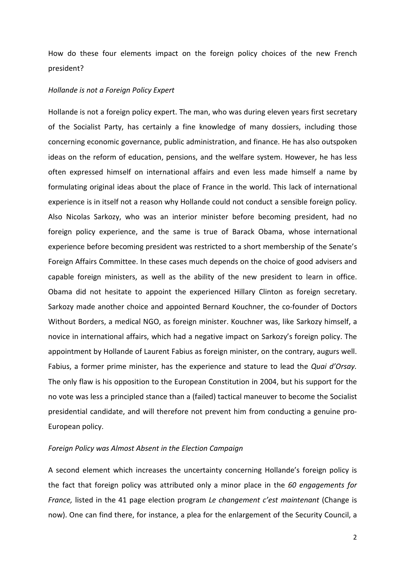How do these four elements impact on the foreign policy choices of the new French president?

#### Hollande is not a Foreign Policy Expert

Hollande is not a foreign policy expert. The man, who was during eleven years first secretary of the Socialist Party, has certainly a fine knowledge of many dossiers, including those concerning economic governance, public administration, and finance. He has also outspoken ideas on the reform of education, pensions, and the welfare system. However, he has less often expressed himself on international affairs and even less made himself a name by formulating original ideas about the place of France in the world. This lack of international experience is in itself not a reason why Hollande could not conduct a sensible foreign policy. Also Nicolas Sarkozy, who was an interior minister before becoming president, had no foreign policy experience, and the same is true of Barack Obama, whose international experience before becoming president was restricted to a short membership of the Senate's Foreign Affairs Committee. In these cases much depends on the choice of good advisers and capable foreign ministers, as well as the ability of the new president to learn in office. Obama did not hesitate to appoint the experienced Hillary Clinton as foreign secretary. Sarkozy made another choice and appointed Bernard Kouchner, the co-founder of Doctors Without Borders, a medical NGO, as foreign minister. Kouchner was, like Sarkozy himself, a novice in international affairs, which had a negative impact on Sarkozy's foreign policy. The appointment by Hollande of Laurent Fabius as foreign minister, on the contrary, augurs well. Fabius, a former prime minister, has the experience and stature to lead the Quai d'Orsay. The only flaw is his opposition to the European Constitution in 2004, but his support for the no vote was less a principled stance than a (failed) tactical maneuver to become the Socialist presidential candidate, and will therefore not prevent him from conducting a genuine pro-European policy.

#### Foreign Policy was Almost Absent in the Election Campaign

A second element which increases the uncertainty concerning Hollande's foreign policy is the fact that foreign policy was attributed only a minor place in the 60 engagements for France, listed in the 41 page election program Le changement c'est maintenant (Change is now). One can find there, for instance, a plea for the enlargement of the Security Council, a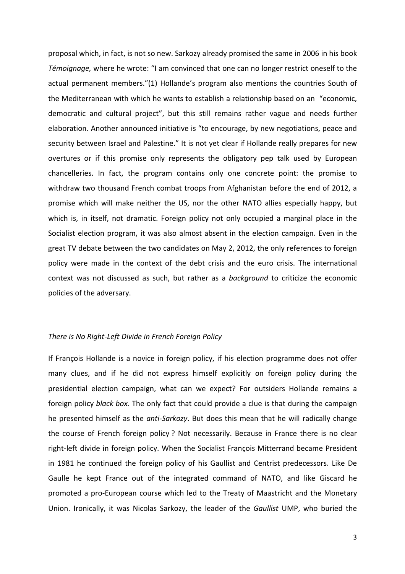proposal which, in fact, is not so new. Sarkozy already promised the same in 2006 in his book Témoignage, where he wrote: "I am convinced that one can no longer restrict oneself to the actual permanent members."(1) Hollande's program also mentions the countries South of the Mediterranean with which he wants to establish a relationship based on an "economic, democratic and cultural project", but this still remains rather vague and needs further elaboration. Another announced initiative is "to encourage, by new negotiations, peace and security between Israel and Palestine." It is not yet clear if Hollande really prepares for new overtures or if this promise only represents the obligatory pep talk used by European chancelleries. In fact, the program contains only one concrete point: the promise to withdraw two thousand French combat troops from Afghanistan before the end of 2012, a promise which will make neither the US, nor the other NATO allies especially happy, but which is, in itself, not dramatic. Foreign policy not only occupied a marginal place in the Socialist election program, it was also almost absent in the election campaign. Even in the great TV debate between the two candidates on May 2, 2012, the only references to foreign policy were made in the context of the debt crisis and the euro crisis. The international context was not discussed as such, but rather as a background to criticize the economic policies of the adversary.

#### There is No Right-Left Divide in French Foreign Policy

If François Hollande is a novice in foreign policy, if his election programme does not offer many clues, and if he did not express himself explicitly on foreign policy during the presidential election campaign, what can we expect? For outsiders Hollande remains a foreign policy *black box*. The only fact that could provide a clue is that during the campaign he presented himself as the anti-Sarkozy. But does this mean that he will radically change the course of French foreign policy ? Not necessarily. Because in France there is no clear right-left divide in foreign policy. When the Socialist François Mitterrand became President in 1981 he continued the foreign policy of his Gaullist and Centrist predecessors. Like De Gaulle he kept France out of the integrated command of NATO, and like Giscard he promoted a pro-European course which led to the Treaty of Maastricht and the Monetary Union. Ironically, it was Nicolas Sarkozy, the leader of the Gaullist UMP, who buried the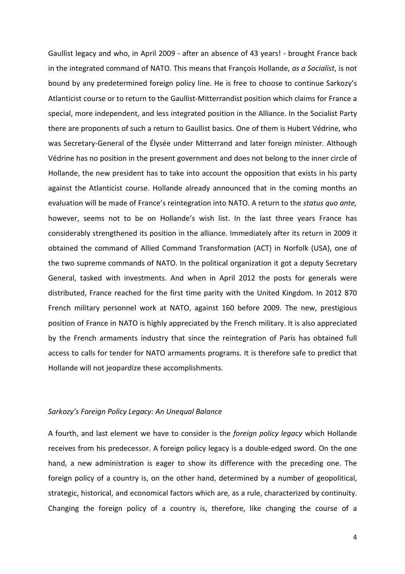Gaullist legacy and who, in April 2009 - after an absence of 43 years! - brought France back in the integrated command of NATO. This means that François Hollande, as a Socialist, is not bound by any predetermined foreign policy line. He is free to choose to continue Sarkozy's Atlanticist course or to return to the Gaullist-Mitterrandist position which claims for France a special, more independent, and less integrated position in the Alliance. In the Socialist Party there are proponents of such a return to Gaullist basics. One of them is Hubert Védrine, who was Secretary-General of the Élysée under Mitterrand and later foreign minister. Although Védrine has no position in the present government and does not belong to the inner circle of Hollande, the new president has to take into account the opposition that exists in his party against the Atlanticist course. Hollande already announced that in the coming months an evaluation will be made of France's reintegration into NATO. A return to the status quo ante, however, seems not to be on Hollande's wish list. In the last three years France has considerably strengthened its position in the alliance. Immediately after its return in 2009 it obtained the command of Allied Command Transformation (ACT) in Norfolk (USA), one of the two supreme commands of NATO. In the political organization it got a deputy Secretary General, tasked with investments. And when in April 2012 the posts for generals were distributed, France reached for the first time parity with the United Kingdom. In 2012 870 French military personnel work at NATO, against 160 before 2009. The new, prestigious position of France in NATO is highly appreciated by the French military. It is also appreciated by the French armaments industry that since the reintegration of Paris has obtained full access to calls for tender for NATO armaments programs. It is therefore safe to predict that Hollande will not jeopardize these accomplishments.

#### Sarkozy's Foreign Policy Legacy: An Unequal Balance

A fourth, and last element we have to consider is the foreign policy legacy which Hollande receives from his predecessor. A foreign policy legacy is a double-edged sword. On the one hand, a new administration is eager to show its difference with the preceding one. The foreign policy of a country is, on the other hand, determined by a number of geopolitical, strategic, historical, and economical factors which are, as a rule, characterized by continuity. Changing the foreign policy of a country is, therefore, like changing the course of a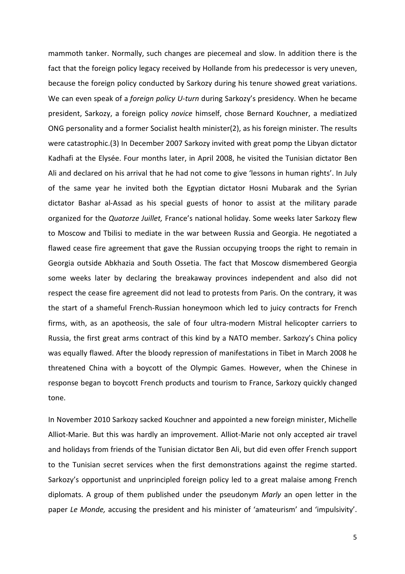mammoth tanker. Normally, such changes are piecemeal and slow. In addition there is the fact that the foreign policy legacy received by Hollande from his predecessor is very uneven, because the foreign policy conducted by Sarkozy during his tenure showed great variations. We can even speak of a *foreign policy U-turn* during Sarkozy's presidency. When he became president, Sarkozy, a foreign policy novice himself, chose Bernard Kouchner, a mediatized ONG personality and a former Socialist health minister(2), as his foreign minister. The results were catastrophic.(3) In December 2007 Sarkozy invited with great pomp the Libyan dictator Kadhafi at the Elysée. Four months later, in April 2008, he visited the Tunisian dictator Ben Ali and declared on his arrival that he had not come to give 'lessons in human rights'. In July of the same year he invited both the Egyptian dictator Hosni Mubarak and the Syrian dictator Bashar al-Assad as his special guests of honor to assist at the military parade organized for the Quatorze Juillet, France's national holiday. Some weeks later Sarkozy flew to Moscow and Tbilisi to mediate in the war between Russia and Georgia. He negotiated a flawed cease fire agreement that gave the Russian occupying troops the right to remain in Georgia outside Abkhazia and South Ossetia. The fact that Moscow dismembered Georgia some weeks later by declaring the breakaway provinces independent and also did not respect the cease fire agreement did not lead to protests from Paris. On the contrary, it was the start of a shameful French-Russian honeymoon which led to juicy contracts for French firms, with, as an apotheosis, the sale of four ultra-modern Mistral helicopter carriers to Russia, the first great arms contract of this kind by a NATO member. Sarkozy's China policy was equally flawed. After the bloody repression of manifestations in Tibet in March 2008 he threatened China with a boycott of the Olympic Games. However, when the Chinese in response began to boycott French products and tourism to France, Sarkozy quickly changed tone.

In November 2010 Sarkozy sacked Kouchner and appointed a new foreign minister, Michelle Alliot-Marie. But this was hardly an improvement. Alliot-Marie not only accepted air travel and holidays from friends of the Tunisian dictator Ben Ali, but did even offer French support to the Tunisian secret services when the first demonstrations against the regime started. Sarkozy's opportunist and unprincipled foreign policy led to a great malaise among French diplomats. A group of them published under the pseudonym Marly an open letter in the paper Le Monde, accusing the president and his minister of 'amateurism' and 'impulsivity'.

5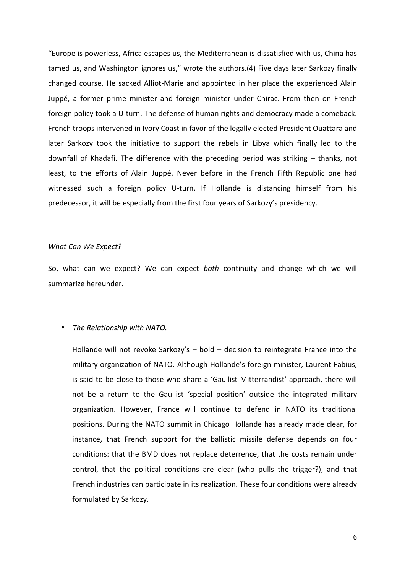"Europe is powerless, Africa escapes us, the Mediterranean is dissatisfied with us, China has tamed us, and Washington ignores us," wrote the authors.(4) Five days later Sarkozy finally changed course. He sacked Alliot-Marie and appointed in her place the experienced Alain Juppé, a former prime minister and foreign minister under Chirac. From then on French foreign policy took a U-turn. The defense of human rights and democracy made a comeback. French troops intervened in Ivory Coast in favor of the legally elected President Ouattara and later Sarkozy took the initiative to support the rebels in Libya which finally led to the downfall of Khadafi. The difference with the preceding period was striking – thanks, not least, to the efforts of Alain Juppé. Never before in the French Fifth Republic one had witnessed such a foreign policy U-turn. If Hollande is distancing himself from his predecessor, it will be especially from the first four years of Sarkozy's presidency.

#### What Can We Expect?

So, what can we expect? We can expect both continuity and change which we will summarize hereunder.

#### • The Relationship with NATO.

Hollande will not revoke Sarkozy's – bold – decision to reintegrate France into the military organization of NATO. Although Hollande's foreign minister, Laurent Fabius, is said to be close to those who share a 'Gaullist-Mitterrandist' approach, there will not be a return to the Gaullist 'special position' outside the integrated military organization. However, France will continue to defend in NATO its traditional positions. During the NATO summit in Chicago Hollande has already made clear, for instance, that French support for the ballistic missile defense depends on four conditions: that the BMD does not replace deterrence, that the costs remain under control, that the political conditions are clear (who pulls the trigger?), and that French industries can participate in its realization. These four conditions were already formulated by Sarkozy.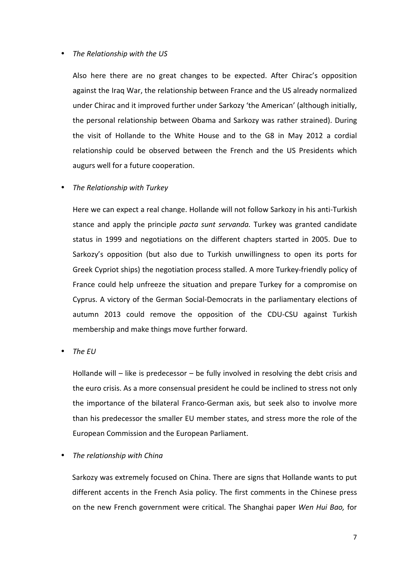#### • The Relationship with the US

Also here there are no great changes to be expected. After Chirac's opposition against the Iraq War, the relationship between France and the US already normalized under Chirac and it improved further under Sarkozy 'the American' (although initially, the personal relationship between Obama and Sarkozy was rather strained). During the visit of Hollande to the White House and to the G8 in May 2012 a cordial relationship could be observed between the French and the US Presidents which augurs well for a future cooperation.

#### The Relationship with Turkey

Here we can expect a real change. Hollande will not follow Sarkozy in his anti-Turkish stance and apply the principle pacta sunt servanda. Turkey was granted candidate status in 1999 and negotiations on the different chapters started in 2005. Due to Sarkozy's opposition (but also due to Turkish unwillingness to open its ports for Greek Cypriot ships) the negotiation process stalled. A more Turkey-friendly policy of France could help unfreeze the situation and prepare Turkey for a compromise on Cyprus. A victory of the German Social-Democrats in the parliamentary elections of autumn 2013 could remove the opposition of the CDU-CSU against Turkish membership and make things move further forward.

• The EU

Hollande will – like is predecessor – be fully involved in resolving the debt crisis and the euro crisis. As a more consensual president he could be inclined to stress not only the importance of the bilateral Franco-German axis, but seek also to involve more than his predecessor the smaller EU member states, and stress more the role of the European Commission and the European Parliament.

#### • The relationship with China

Sarkozy was extremely focused on China. There are signs that Hollande wants to put different accents in the French Asia policy. The first comments in the Chinese press on the new French government were critical. The Shanghai paper Wen Hui Bao, for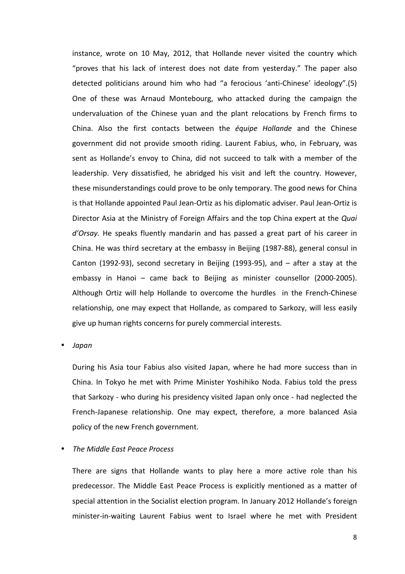instance, wrote on 10 May, 2012, that Hollande never visited the country which "proves that his lack of interest does not date from yesterday." The paper also detected politicians around him who had "a ferocious 'anti-Chinese' ideology".(5) One of these was Arnaud Montebourg, who attacked during the campaign the undervaluation of the Chinese yuan and the plant relocations by French firms to China. Also the first contacts between the équipe Hollande and the Chinese government did not provide smooth riding. Laurent Fabius, who, in February, was sent as Hollande's envoy to China, did not succeed to talk with a member of the leadership. Very dissatisfied, he abridged his visit and left the country. However, these misunderstandings could prove to be only temporary. The good news for China is that Hollande appointed Paul Jean-Ortiz as his diplomatic adviser. Paul Jean-Ortiz is Director Asia at the Ministry of Foreign Affairs and the top China expert at the Quai d'Orsay. He speaks fluently mandarin and has passed a great part of his career in China. He was third secretary at the embassy in Beijing (1987-88), general consul in Canton (1992-93), second secretary in Beijing (1993-95), and – after a stay at the embassy in Hanoi – came back to Beijing as minister counsellor (2000-2005). Although Ortiz will help Hollande to overcome the hurdles in the French-Chinese relationship, one may expect that Hollande, as compared to Sarkozy, will less easily give up human rights concerns for purely commercial interests.

• Japan

During his Asia tour Fabius also visited Japan, where he had more success than in China. In Tokyo he met with Prime Minister Yoshihiko Noda. Fabius told the press that Sarkozy - who during his presidency visited Japan only once - had neglected the French-Japanese relationship. One may expect, therefore, a more balanced Asia policy of the new French government.

#### • The Middle East Peace Process

There are signs that Hollande wants to play here a more active role than his predecessor. The Middle East Peace Process is explicitly mentioned as a matter of special attention in the Socialist election program. In January 2012 Hollande's foreign minister-in-waiting Laurent Fabius went to Israel where he met with President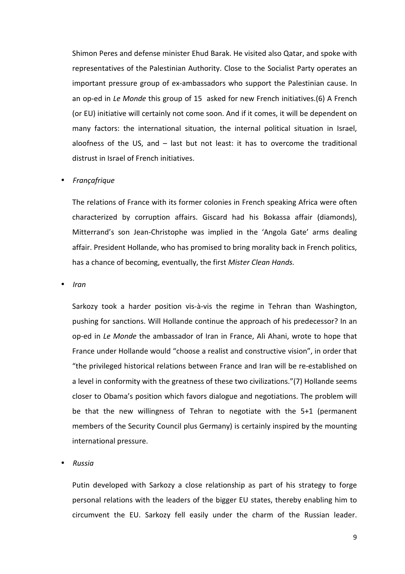Shimon Peres and defense minister Ehud Barak. He visited also Qatar, and spoke with representatives of the Palestinian Authority. Close to the Socialist Party operates an important pressure group of ex-ambassadors who support the Palestinian cause. In an op-ed in Le Monde this group of 15 asked for new French initiatives.(6) A French (or EU) initiative will certainly not come soon. And if it comes, it will be dependent on many factors: the international situation, the internal political situation in Israel, aloofness of the US, and – last but not least: it has to overcome the traditional distrust in Israel of French initiatives.

#### • Françafrique

The relations of France with its former colonies in French speaking Africa were often characterized by corruption affairs. Giscard had his Bokassa affair (diamonds), Mitterrand's son Jean-Christophe was implied in the 'Angola Gate' arms dealing affair. President Hollande, who has promised to bring morality back in French politics, has a chance of becoming, eventually, the first Mister Clean Hands.

• Iran

Sarkozy took a harder position vis-à-vis the regime in Tehran than Washington, pushing for sanctions. Will Hollande continue the approach of his predecessor? In an op-ed in Le Monde the ambassador of Iran in France, Ali Ahani, wrote to hope that France under Hollande would "choose a realist and constructive vision", in order that "the privileged historical relations between France and Iran will be re-established on a level in conformity with the greatness of these two civilizations."(7) Hollande seems closer to Obama's position which favors dialogue and negotiations. The problem will be that the new willingness of Tehran to negotiate with the 5+1 (permanent members of the Security Council plus Germany) is certainly inspired by the mounting international pressure.

#### • Russia

Putin developed with Sarkozy a close relationship as part of his strategy to forge personal relations with the leaders of the bigger EU states, thereby enabling him to circumvent the EU. Sarkozy fell easily under the charm of the Russian leader.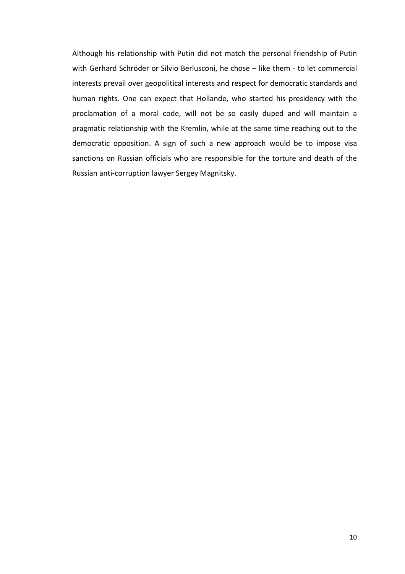Although his relationship with Putin did not match the personal friendship of Putin with Gerhard Schröder or Silvio Berlusconi, he chose – like them - to let commercial interests prevail over geopolitical interests and respect for democratic standards and human rights. One can expect that Hollande, who started his presidency with the proclamation of a moral code, will not be so easily duped and will maintain a pragmatic relationship with the Kremlin, while at the same time reaching out to the democratic opposition. A sign of such a new approach would be to impose visa sanctions on Russian officials who are responsible for the torture and death of the Russian anti-corruption lawyer Sergey Magnitsky.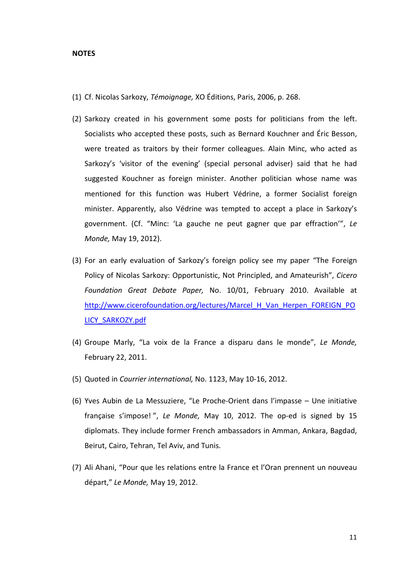#### NOTES

- (1) Cf. Nicolas Sarkozy, Témoignage, XO Éditions, Paris, 2006, p. 268.
- (2) Sarkozy created in his government some posts for politicians from the left. Socialists who accepted these posts, such as Bernard Kouchner and Éric Besson, were treated as traitors by their former colleagues. Alain Minc, who acted as Sarkozy's 'visitor of the evening' (special personal adviser) said that he had suggested Kouchner as foreign minister. Another politician whose name was mentioned for this function was Hubert Védrine, a former Socialist foreign minister. Apparently, also Védrine was tempted to accept a place in Sarkozy's government. (Cf. "Minc: 'La gauche ne peut gagner que par effraction'", Le Monde, May 19, 2012).
- (3) For an early evaluation of Sarkozy's foreign policy see my paper "The Foreign Policy of Nicolas Sarkozy: Opportunistic, Not Principled, and Amateurish", Cicero Foundation Great Debate Paper, No. 10/01, February 2010. Available at http://www.cicerofoundation.org/lectures/Marcel\_H\_Van\_Herpen\_FOREIGN\_PO LICY\_SARKOZY.pdf
- (4) Groupe Marly, "La voix de la France a disparu dans le monde", Le Monde, February 22, 2011.
- (5) Quoted in Courrier international, No. 1123, May 10-16, 2012.
- (6) Yves Aubin de La Messuziere, "Le Proche-Orient dans l'impasse Une initiative française s'impose! ", Le Monde, May 10, 2012. The op-ed is signed by 15 diplomats. They include former French ambassadors in Amman, Ankara, Bagdad, Beirut, Cairo, Tehran, Tel Aviv, and Tunis.
- (7) Ali Ahani, "Pour que les relations entre la France et l'Oran prennent un nouveau départ," Le Monde, May 19, 2012.